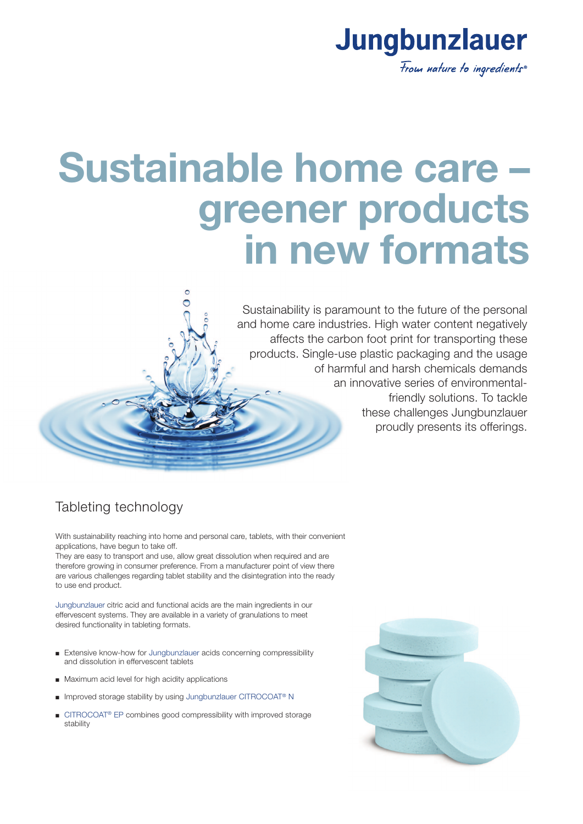

## **Sustainable home care – greener products in new formats**

Sustainability is paramount to the future of the personal and home care industries. High water content negatively affects the carbon foot print for transporting these products. Single-use plastic packaging and the usage of harmful and harsh chemicals demands an innovative series of environmentalfriendly solutions. To tackle these challenges Jungbunzlauer proudly presents its offerings.

### Tableting technology

With sustainability reaching into home and personal care, tablets, with their convenient applications, have begun to take off.

 $\circ$  $\overline{\bullet}$ 

They are easy to transport and use, allow great dissolution when required and are therefore growing in consumer preference. From a manufacturer point of view there are various challenges regarding tablet stability and the disintegration into the ready to use end product.

Jungbunzlauer citric acid and functional acids are the main ingredients in our effervescent systems. They are available in a variety of granulations to meet desired functionality in tableting formats.

- Extensive know-how for Jungbunzlauer acids concerning compressibility and dissolution in effervescent tablets
- Maximum acid level for high acidity applications
- Improved storage stability by using Jungbunzlauer CITROCOAT<sup>®</sup> N
- CITROCOAT<sup>®</sup> EP combines good compressibility with improved storage stability